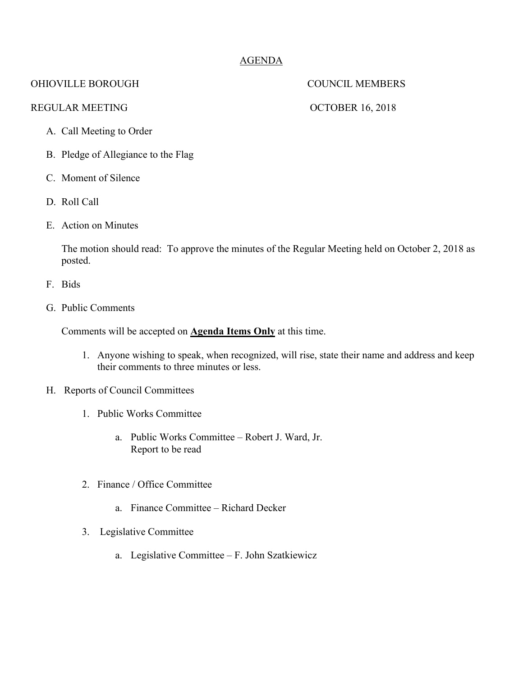## AGENDA

## OHIOVILLE BOROUGH COUNCIL MEMBERS

### REGULAR MEETING OCTOBER 16, 2018

- A. Call Meeting to Order
- B. Pledge of Allegiance to the Flag
- C. Moment of Silence
- D. Roll Call
- E. Action on Minutes

The motion should read: To approve the minutes of the Regular Meeting held on October 2, 2018 as posted.

- F. Bids
- G. Public Comments

Comments will be accepted on **Agenda Items Only** at this time.

- 1. Anyone wishing to speak, when recognized, will rise, state their name and address and keep their comments to three minutes or less.
- H. Reports of Council Committees
	- 1. Public Works Committee
		- a. Public Works Committee Robert J. Ward, Jr. Report to be read
	- 2. Finance / Office Committee
		- a. Finance Committee Richard Decker
	- 3. Legislative Committee
		- a. Legislative Committee F. John Szatkiewicz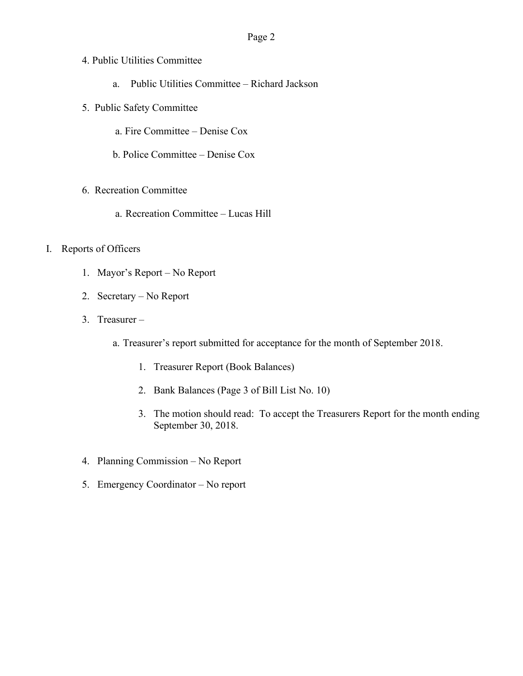# Page 2

- 4. Public Utilities Committee
	- a. Public Utilities Committee Richard Jackson
- 5. Public Safety Committee
	- a. Fire Committee Denise Cox
	- b. Police Committee Denise Cox
- 6. Recreation Committee
	- a. Recreation Committee Lucas Hill

### I. Reports of Officers

- 1. Mayor's Report No Report
- 2. Secretary No Report
- 3. Treasurer
	- a. Treasurer's report submitted for acceptance for the month of September 2018.
		- 1. Treasurer Report (Book Balances)
		- 2. Bank Balances (Page 3 of Bill List No. 10)
		- 3. The motion should read: To accept the Treasurers Report for the month ending September 30, 2018.
- 4. Planning Commission No Report
- 5. Emergency Coordinator No report